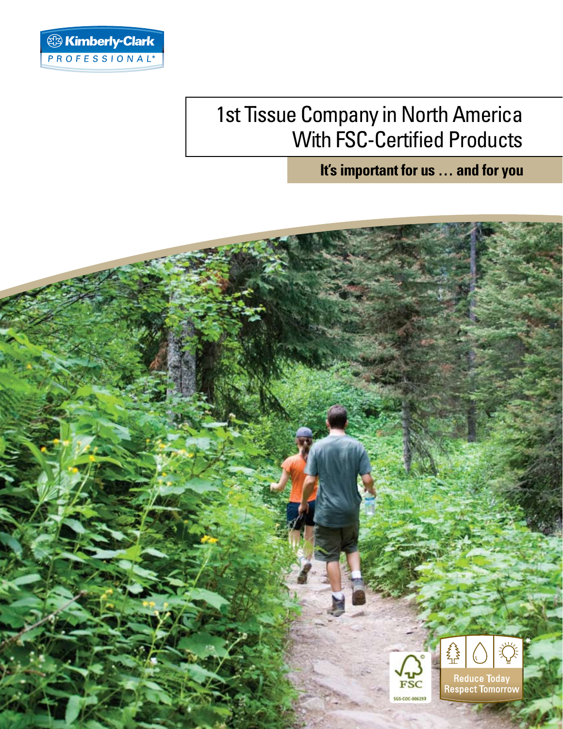

## 1st Tissue Company in North America With FSC-Certified Products

**It's important for us … and for you**

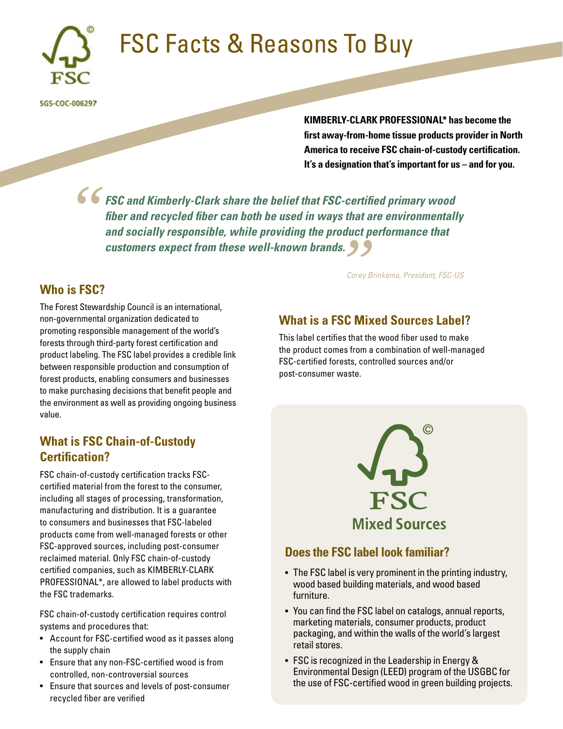

# FSC Facts & Reasons To Buy

SGS-COC-006297

**KIMBERLY-CLARK PROFESSIONAL\* has become the first away-from-home tissue products provider in North America to receive FSC chain-of-custody certification. It's a designation that's important for us – and for you.** 

*FSC and Kimberly-Clark share the belief that FSC-certified primary wood fiber and recycled fiber can both be used in ways that are environmentally and socially responsible, while providing the product performance that*  **customers expect from these well-known brands.**<br> *Customers expect from these well-known brands. "*

#### **Who is FSC?**

The Forest Stewardship Council is an international, non-governmental organization dedicated to promoting responsible management of the world's forests through third-party forest certification and product labeling. The FSC label provides a credible link between responsible production and consumption of forest products, enabling consumers and businesses to make purchasing decisions that benefit people and the environment as well as providing ongoing business value.

### **What is FSC Chain-of-Custody Certification?**

FSC chain-of-custody certification tracks FSCcertified material from the forest to the consumer, including all stages of processing, transformation, manufacturing and distribution. It is a guarantee to consumers and businesses that FSC-labeled products come from well-managed forests or other FSC-approved sources, including post-consumer reclaimed material. Only FSC chain-of-custody certified companies, such as KIMBERLY-CLARK PROFESSIONAL\*, are allowed to label products with the FSC trademarks.

FSC chain-of-custody certification requires control systems and procedures that:

- Account for FSC-certified wood as it passes along the supply chain
- Ensure that any non-FSC-certified wood is from controlled, non-controversial sources
- • Ensure that sources and levels of post-consumer recycled fiber are verified

*Corey Brinkema, President, FSC-US*

#### **What is a FSC Mixed Sources Label?**

This label certifies that the wood fiber used to make the product comes from a combination of well-managed FSC-certified forests, controlled sources and/or post-consumer waste.



#### **Does the FSC label look familiar?**

- The FSC label is very prominent in the printing industry, wood based building materials, and wood based furniture.
- You can find the FSC label on catalogs, annual reports, marketing materials, consumer products, product packaging, and within the walls of the world's largest retail stores.
- FSC is recognized in the Leadership in Energy & Environmental Design (LEED) program of the USGBC for the use of FSC-certified wood in green building projects.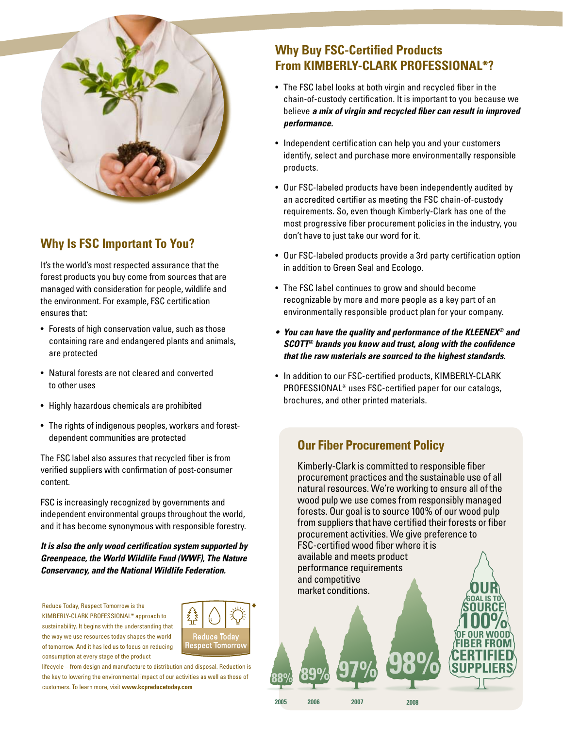

### **Why Is FSC Important To You?**

It's the world's most respected assurance that the forest products you buy come from sources that are managed with consideration for people, wildlife and the environment. For example, FSC certification ensures that:

- Forests of high conservation value, such as those containing rare and endangered plants and animals, are protected
- Natural forests are not cleared and converted to other uses
- • Highly hazardous chemicals are prohibited
- The rights of indigenous peoples, workers and forestdependent communities are protected

The FSC label also assures that recycled fiber is from verified suppliers with confirmation of post-consumer content.

FSC is increasingly recognized by governments and independent environmental groups throughout the world, and it has become synonymous with responsible forestry.

*It is also the only wood certification system supported by Greenpeace, the World Wildlife Fund (WWF), The Nature Conservancy, and the National Wildlife Federation.* 

Reduce Today, Respect Tomorrow is the KIMBERLY-CLARK PROFESSIONAL\* approach to sustainability. It begins with the understanding that the way we use resources today shapes the world of tomorrow. And it has led us to focus on reducing consumption at every stage of the product



**2005**

**2006**

**2007**

lifecycle – from design and manufacture to distribution and disposal. Reduction is the key to lowering the environmental impact of our activities as well as those of customers. To learn more, visit **www.kcpreducetoday.com**

## **Why Buy FSC-Certified Products From KIMBERLY-CLARK PROFESSIONAL\*?**

- The FSC label looks at both virgin and recycled fiber in the chain-of-custody certification. It is important to you because we believe *a mix of virgin and recycled fiber can result in improved performance.*
- Independent certification can help you and your customers identify, select and purchase more environmentally responsible products.
- Our FSC-labeled products have been independently audited by an accredited certifier as meeting the FSC chain-of-custody requirements. So, even though Kimberly-Clark has one of the most progressive fiber procurement policies in the industry, you don't have to just take our word for it.
- Our FSC-labeled products provide a 3rd party certification option in addition to Green Seal and Ecologo.
- The FSC label continues to grow and should become recognizable by more and more people as a key part of an environmentally responsible product plan for your company.
- **•**  *You can have the quality and performance of the KLEENEX® and SCOTT® brands you know and trust, along with the confidence that the raw materials are sourced to the highest standards.*
- In addition to our FSC-certified products, KIMBERLY-CLARK PROFESSIONAL\* uses FSC-certified paper for our catalogs, brochures, and other printed materials.

#### **Our Fiber Procurement Policy**

Kimberly-Clark is committed to responsible fiber procurement practices and the sustainable use of all natural resources. We're working to ensure all of the wood pulp we use comes from responsibly managed forests. Our goal is to source 100% of our wood pulp from suppliers that have certified their forests or fiber procurement activities. We give preference to FSC-certified wood fiber where it is available and meets product performance requirements and competitive market conditions. **GOAL IS TO SOURCE 100% OF OUR WOOD SUPPLIERS FIBER FROM CERTIFIED 88% 89% 97% 98%**

**2008**